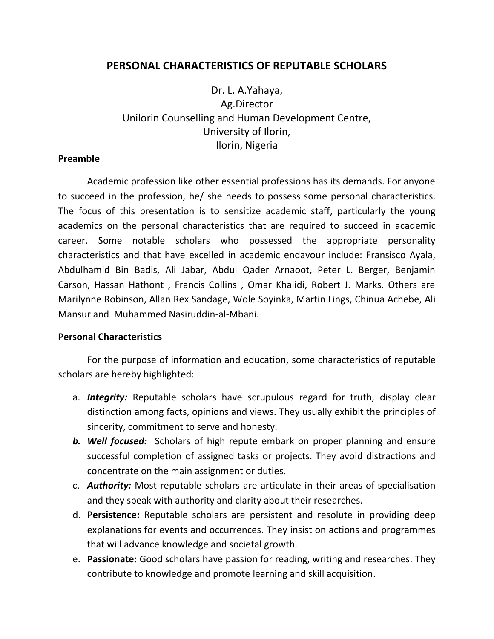## **PERSONAL CHARACTERISTICS OF REPUTABLE SCHOLARS**

Dr. L. A.Yahaya, Ag.Director Unilorin Counselling and Human Development Centre, University of Ilorin, Ilorin, Nigeria

## **Preamble**

Academic profession like other essential professions has its demands. For anyone to succeed in the profession, he/ she needs to possess some personal characteristics. The focus of this presentation is to sensitize academic staff, particularly the young academics on the personal characteristics that are required to succeed in academic career. Some notable scholars who possessed the appropriate personality characteristics and that have excelled in academic endavour include: Fransisco Ayala, Abdulhamid Bin Badis, Ali Jabar, Abdul Qader Arnaoot, Peter L. Berger, Benjamin Carson, Hassan Hathont , Francis Collins , Omar Khalidi, Robert J. Marks. Others are Marilynne Robinson, Allan Rex Sandage, Wole Soyinka, Martin Lings, Chinua Achebe, Ali Mansur and Muhammed Nasiruddin-al-Mbani.

## **Personal Characteristics**

For the purpose of information and education, some characteristics of reputable scholars are hereby highlighted:

- a. *Integrity:* Reputable scholars have scrupulous regard for truth, display clear distinction among facts, opinions and views. They usually exhibit the principles of sincerity, commitment to serve and honesty.
- *b. Well focused:* Scholars of high repute embark on proper planning and ensure successful completion of assigned tasks or projects. They avoid distractions and concentrate on the main assignment or duties*.*
- c. *Authority:* Most reputable scholars are articulate in their areas of specialisation and they speak with authority and clarity about their researches.
- d. **Persistence:** Reputable scholars are persistent and resolute in providing deep explanations for events and occurrences. They insist on actions and programmes that will advance knowledge and societal growth.
- e. **Passionate:** Good scholars have passion for reading, writing and researches. They contribute to knowledge and promote learning and skill acquisition.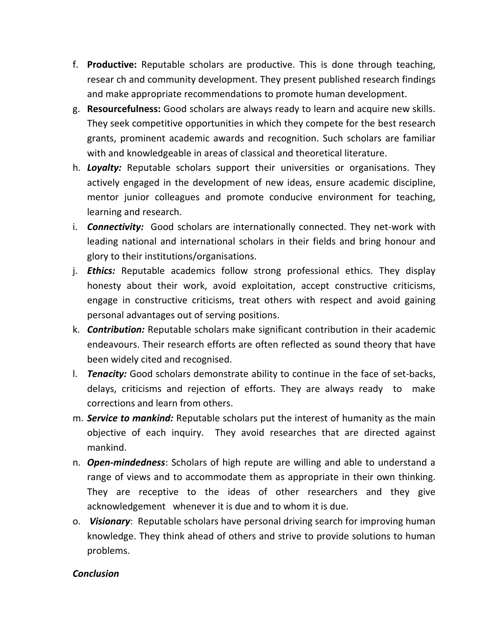- f. **Productive:** Reputable scholars are productive. This is done through teaching, resear ch and community development. They present published research findings and make appropriate recommendations to promote human development.
- g. **Resourcefulness:** Good scholars are always ready to learn and acquire new skills. They seek competitive opportunities in which they compete for the best research grants, prominent academic awards and recognition. Such scholars are familiar with and knowledgeable in areas of classical and theoretical literature.
- h. *Loyalty:* Reputable scholars support their universities or organisations. They actively engaged in the development of new ideas, ensure academic discipline, mentor junior colleagues and promote conducive environment for teaching, learning and research.
- i. *Connectivity:* Good scholars are internationally connected. They net-work with leading national and international scholars in their fields and bring honour and glory to their institutions/organisations.
- j. *Ethics:* Reputable academics follow strong professional ethics. They display honesty about their work, avoid exploitation, accept constructive criticisms, engage in constructive criticisms, treat others with respect and avoid gaining personal advantages out of serving positions.
- k. *Contribution:* Reputable scholars make significant contribution in their academic endeavours. Their research efforts are often reflected as sound theory that have been widely cited and recognised.
- l. *Tenacity:* Good scholars demonstrate ability to continue in the face of set-backs, delays, criticisms and rejection of efforts. They are always ready to make corrections and learn from others.
- m. *Service to mankind:* Reputable scholars put the interest of humanity as the main objective of each inquiry. They avoid researches that are directed against mankind.
- n. *Open-mindedness*: Scholars of high repute are willing and able to understand a range of views and to accommodate them as appropriate in their own thinking. They are receptive to the ideas of other researchers and they give acknowledgement whenever it is due and to whom it is due.
- o. *Visionary*: Reputable scholars have personal driving search for improving human knowledge. They think ahead of others and strive to provide solutions to human problems.

## *Conclusion*